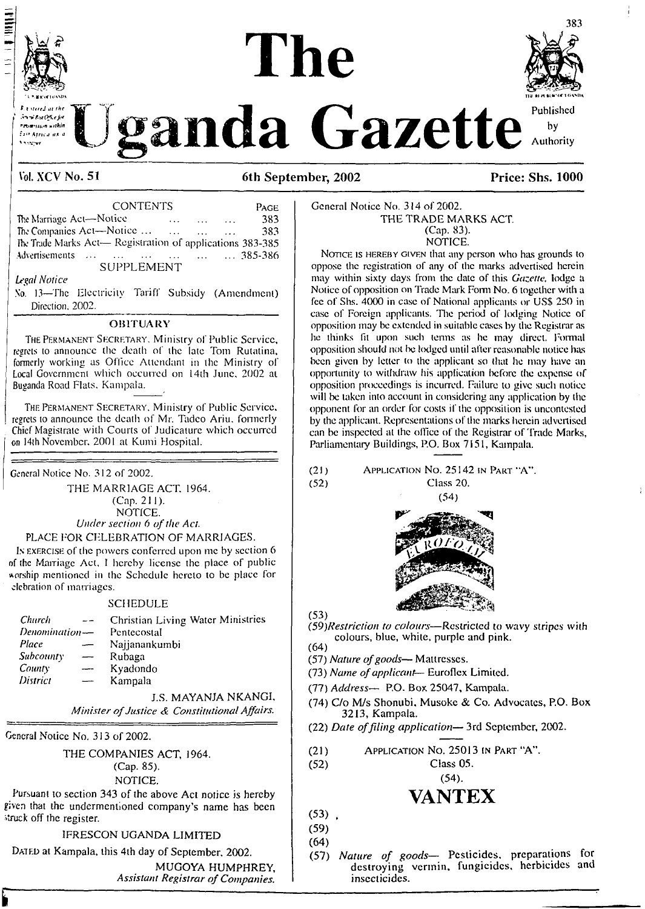

# **1 The**



*Maximula* **Gazette**  $\frac{Publised}{Publoid}$ 

## **Vol. XCV No. 51 6th September, 2002 Price: Shs. 1000**

| <b>Vol. XCV No. 51</b>                                    |                   |          |            | 6th Se            |         |
|-----------------------------------------------------------|-------------------|----------|------------|-------------------|---------|
|                                                           | <b>CONTENTS</b>   |          |            |                   | PAGE    |
| The Marriage Act-Notice                                   |                   | $\cdots$ | $\sim 100$ | <b>Contractor</b> | 383     |
| The Companies Act—Notice                                  |                   |          |            |                   | 383     |
| The Trade Marks Act- Registration of applications 383-385 |                   |          |            |                   |         |
| Advertisements                                            | <b>SUPPLEMENT</b> |          |            |                   | 385-386 |
| Legal Notice                                              |                   |          |            |                   |         |

#### *Legal Notice*

<sup>X</sup>'o. 13—The Electricity Tariff Subsidy (Amendment) Direction. 2002.

#### **OBITUARY**

The Permanent Secretary. Ministry of Public Service, regrets to announce the death of the late Tom Rutatina, formerly working as Office Attendant in the Ministry of Local Government which occurred on 14th June. 2002 al Buganda Road Flats. Kampala.

The Permanent Secretary. Ministry of Public Service, regrets to announce the death of Mr. Tadco Ariu. formerly Chief Magistrate with Courts of Judicature which occurred on 14ih November. 2001 at Kumi Hospital.

General Notice No. 312 of 2002.

THE MARRIAGE ACT. 1964. (Cap. 211). NOTICE. *Under section 6 ofthe Act.*

#### PLACE FOR CELEBRATION OF MARRIAGES.

Is exercise of the powers conferred upon me by section 6 of the Marriage Act, <sup>I</sup> hereby license the place of public worship mentioned in the Schedule hereto to be place for debration of marriages.

#### SCHEDULE

| <b>Church</b>    | $\sim$ $-$               | Christian Living Water Ministries |
|------------------|--------------------------|-----------------------------------|
| Denomination-    |                          | Pentecostal                       |
| Place            | $\overline{\phantom{0}}$ | Najjanankumbi                     |
| <i>Subcounty</i> | $\overline{\phantom{a}}$ | Rubaga                            |
| County           | ——                       | Kyadondo                          |
| District         |                          | Kampala                           |
|                  |                          |                                   |

J.S. MAYANJA NKANGI, *Minister ofJustice & Constitutional Affairs.*

General Notice No. 313 of 2002.

THE COMPANIES ACT, 1964.

## (Cap. 85).

NOTICE.

Pursuant io section 343 of the above Act notice is hereby given that the undermentioned company's name has been struck off the register.

### IFRESCON UGANDA LIMITED

DATED at Kampala, this 4th day of September, 2002. MUGOYA HUMPHREY,

*Assistant Registrar ofCompanies.*

#### General Notice No. 314 of 2002. THE TRADE MARKS ACT. (Cap. 83). NOTICE.

NOTICE IS HEREBY GIVEN that any person who has grounds to oppose the registration of any of the marks advertised herein may within sixty days from the date of this *Gazette,* lodge a Notice of opposition on Trade Mark Form No. 6 together with a fee of Shs. 4000 in case of National applicants or USS 250 in case of Foreign applicants. The period of lodging Notice of opposition may be extended in suitable cases by the Registrar as he thinks fit upon such terms as he may direct. Formal opposition should not be lodged until after reasonable notice has been given by letter to the applicant so that he may have an opportunity to withdraw his application before the expense of opposition proceedings is incurred. Failure to give such notice will be taken into account in considering any application by the opponent for an order for costs if the opposition is uncontcsted by the applicant. Reprcsentaiions of the marks herein advertised can be inspected al the office of the Registrar of Trade Marks, Parliamentary Buildings, P.O. Box 7151, Kampala.

(21) Application No. 25142 in Part "A". (52) Class 20.





*(59)Restriction to colours—*Restricted to wavy stripes with colours, blue, white, purple and pink. (64)

- (57) *Nature ofgoods—* Mattresses.
- (73) *Name ofapplicant-* Euroflcx Limited.
- (77) *Address—* P.O. Box 25047, Kampala.
- (74) C/o M/s Shonubi. Musoke & Co. Advocates, P.O. Box 3213, Kampala.
- (22) *Date offiling application—* 3rd September, 2002.

| APPLICATION No. 25013 IN PART "A".<br>(21) |  |  |  |  |
|--------------------------------------------|--|--|--|--|
|--------------------------------------------|--|--|--|--|

(52) Class 05.

 $(54)$ .

## **VANTEX**

 $(53)$ .

(59) (64)

(57) *Nature of goods—* Pesticides, preparations for destroying vermin, fungicides, herbicides and insecticides.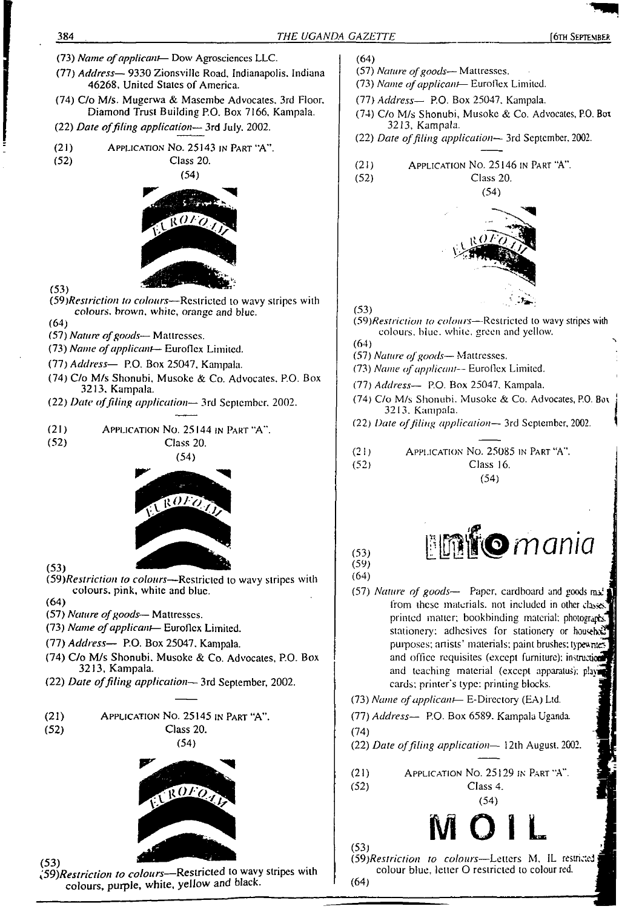(57) *Nature ofgoods—* Mattresses. (77) *Address—* 9330 Zionsville Road. Indianapolis. Indiana (73) *Name ofapplicant*— Euroflex Limited. 46268. United States of America. (77) *Address—* P.O. Box 25047. Kampala. (74) C/o M/s. Mugerwa & Masembc Advocates. 3rd Floor. Diamond Trust Building P.O. Box 7166, Kampala. (74) C/o M/s Shonubi, Musokc & Co. Advocates, P.O. Box 3213, Kampala. (22) *Date offiling application—* 3rd July. 2002. (22) *Date offiling application—* 3rd September. 2002. (21) Application No. 25143 in <sup>P</sup>art 'A". (52) Class 20. (21) Application No. 25146 in Part "A". (54) (52) Class 20.  $(54)$  $R$  $0$   $t$   $\tilde{o}$ (53) *(59)Restriclion to colours—*Restricted to wavy stripes with (53) *colours, brown, white, orange and blue. (59)Restriction to colours—*Restricted to wavy stripes with (64) colours, blue, while, green and yellow. (57) *Nature ofgoods—* Mattresses. (64) (73) *Name ofapplicant—* Euroflex Limited. (57) *Nature ofgoods—* Mattresses. (77) *Address—* P.O, Box 25047. Kampala. (73) *Name ofapplicant—* Euroflex Limited. (74) C/o M/s Shonubi, Musokc & Co. Advocates. P.O. Box (77) *Address—* P.O. Box 25047. Kampala. 3213. Kampala. (74) C/o M/s Shonubi. Musokc & Co. Advocates, P.O. Box (22) *Date offiling application—* 3rd September. 2002. 3213, Kampala. (22) *Dale offiling application—* 3rd September, 2002. (21) APPLICATION NO.  $25144$  in Part "A".<br>(52) Class 20. Class 20. (2<sup>1</sup>) Application No. 25085 in <sup>P</sup>art "A". (54) (52) Class 16. (54)  $ROFO$ *<sup>&</sup>lt;53) mania* (59)  $(53)$ (64) *(59)Restriction to colours—*Restricted to wavy stripes with colours, pink, white and blue. (57) *Nature of goods*— Paper, cardboard and goods  $ms<sup>1</sup>$ (64) from these materials, not included in other classes (57) *Nature ofgoods—* Mattresses. printed matter; bookbinding material; photographs, (73) *Name ofapplicant—* Euroflex Limited. stationery: adhesives for stationery or househod? (77) *Address—* P.O. Box 25047. Kampala. purposes; artists' materials; paint brushes; typewriters (74) C/o M/s Shonubi. Musokc & Co. Advocates, P.O. Box and office requisites (except furniture); instruction 3213, Kampala. and teaching material (except apparatus); playi (22) *Date offiling application—* 3rd September, 2002. cards; printer's type: printing blocks. (73) *Name ofapplicant—* E-Dircctory (EA) Ltd. (21) Application No. 25145 in Part "A". (77) *Address—* P.O. Box 6589. Kampala Uganda. (52) Class 20. (74)  $(54)$ (22) *Date offiling application—* 12th August. 2002. (21) Application No. 25129 in Part "A". (52) Class 4.  $ROFO$ (54) M OT L (53)

(64)

*(59)Restriction to colours—*Letters M, IL restricted colour blue, letter O restricted to colour red.

(64)

(53) *^Restriction to colours—*Restricted to wavy stripes with colours, purple, white, yellow and black.

(73) *Name ofapplicant—* Dow Agroscicnces LLC.

384 *THE UGANDA GAZETTE* (6th September.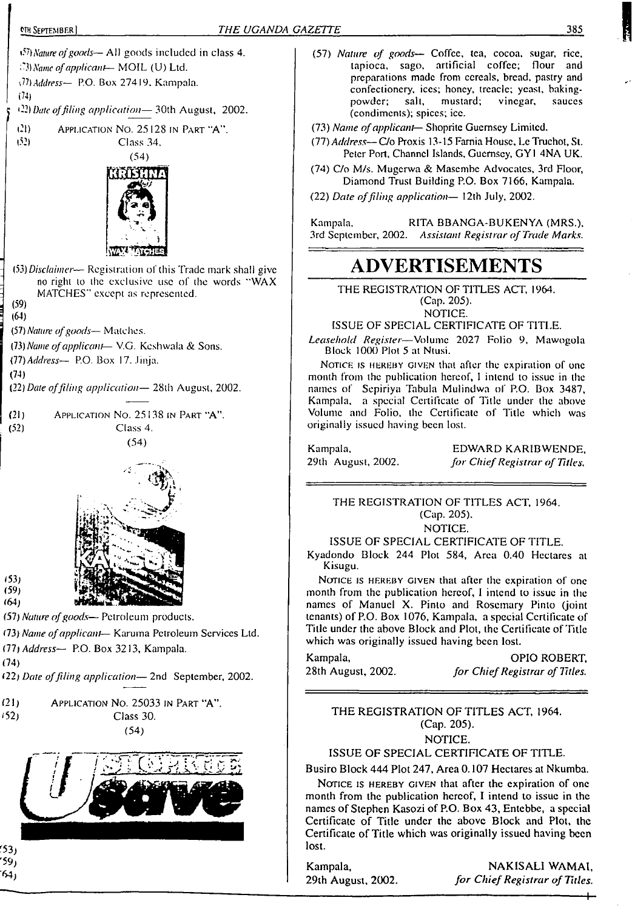'53; '59) '64)



- (57) *Nature of goods—* Coffee, tea, cocoa, sugar, rice, tapioca, sago, artificial coffee; flour and preparations made from cereals, bread, pastry and confectionery, ices; honey, treacle; yeast, baking-<br>powder; salt, mustard; vinegar, sauces powder; salt, mustard; vinegar, sauces (condiments); spices; ice.
- (73) *Name ofapplicant—* Shoprite Guernsey Limited.
- (77) *Address—*C/o Proxis 13-15 Famia House, Lc Truchot, St. Peter Port, Channel Islands. Guernsey, GY1 4NA UK.
- (74) C/o M/s. Mugcrwa & Masembe Advocates, 3rd Floor, Diamond Trust Building P.O. Box 7166, Kampala.

(22) *Date offiling application—* <sup>1</sup>2th July, 2002.

Kampala. RITA BBANGA-BUKENYA (MRS.), 3rd September, 2002. *Assistant Registrar of Trade Marks.*

# **ADVERTISEMENTS**

THE REGISTRATION OF TITLES ACT, 1964. (Cap. 205).

NOTICE.

ISSUE OF SPECIAL CERTIFICATE OF TITLE.

*Leasehold Register—*Volume 2027 Folio 9, Mawogola Block 1000 Plot 5 at Ntusi.

Notice is HEREBY GIVEN that after the expiration of one month from the publication hereof, <sup>I</sup> intend to issue in the names of Sepiriya Tabula Mulindwa of P.O. Box 3487, Kampala, a special Certificate of Title under the above Volume and Folio, the Certificate of Title which was originally issued having been lost.

29th August, 2002.

EDWARD KARIBWENDE, *for ChiefRegistrar of Titles.*

THE REGISTRATION OF TITLES ACT, 1964. (Cap. 205).

NOTICE.

ISSUE OF SPECIAL CERTIFICATE OF TITLE.

Kyadondo Block 244 Plot 584, Area 0.40 Hectares al

NOTICE IS HEREBY GIVEN that after the expiration of one month from the publication hereof, I intend to issue in the names of Manuel X. Pinto and Rosemary Pinto (joint tenants) of P.O. Box 1076, Kampala, a special Certificate of Title under the above Block and Plot, the Certificate of Title which was originally issued having been lost.

Kampala, OPIO ROBERT, 28th August, 2002. *for ChiefRegistrar of Titles.*

THE REGISTRATION OF TITLES ACT, 1964. (Cap. 205).

NOTICE.

ISSUE OF SPECIAL CERTIFICATE OF TITLE.

Busiro Block 444 Plot 247, Area 0.107 Hectares at Nkumba.

NOTICE IS HEREBY GIVEN that after the expiration of one month from the publication hereof, I intend to issue in the names of Stephen Kasozi of P.O. Box 43, Entebbe, a special Certificate of Title under the above Block and Plot, the Certificate of Title which was originally issued having been lost.

Kampala, NAKISALI WAMAI, 29th August, 2002. *for ChiefRegistrar of Titles.*